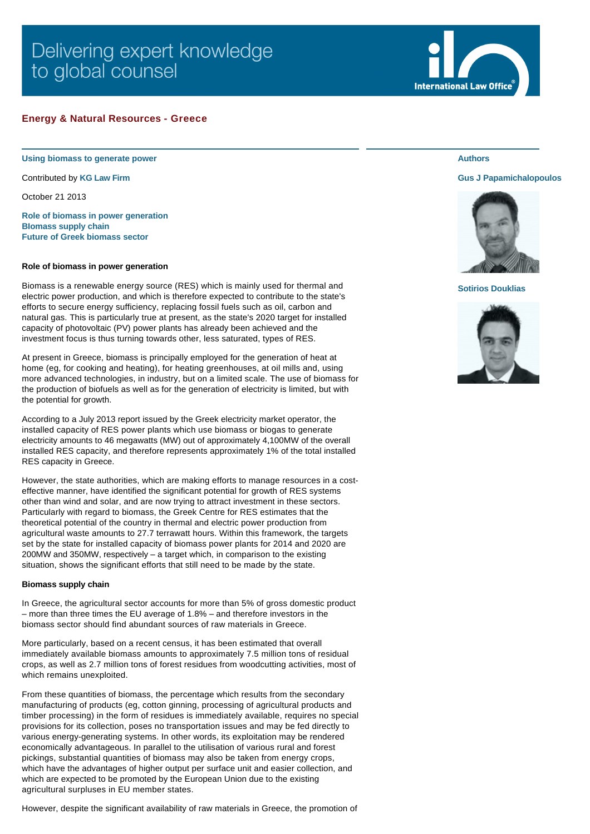# Delivering expert knowledge to global counsel

## **Energy & Natural Resources - Greece**

**Using biomass to generate power**

Contributed by **[KG Law Firm](http://www.internationallawoffice.com/gesr.ashx?l=7K3GH0G)**

October 21 2013

**[Role of biomass in power generation](#page-0-0) [BIomass supply chain](#page-0-1) [Future of Greek biomass sector](#page-1-0)**

### <span id="page-0-0"></span>**Role of biomass in power generation**

Biomass is a renewable energy source (RES) which is mainly used for thermal and electric power production, and which is therefore expected to contribute to the state's efforts to secure energy sufficiency, replacing fossil fuels such as oil, carbon and natural gas. This is particularly true at present, as the state's 2020 target for installed capacity of photovoltaic (PV) power plants has already been achieved and the investment focus is thus turning towards other, less saturated, types of RES.

At present in Greece, biomass is principally employed for the generation of heat at home (eg, for cooking and heating), for heating greenhouses, at oil mills and, using more advanced technologies, in industry, but on a limited scale. The use of biomass for the production of biofuels as well as for the generation of electricity is limited, but with the potential for growth.

According to a July 2013 report issued by the Greek electricity market operator, the installed capacity of RES power plants which use biomass or biogas to generate electricity amounts to 46 megawatts (MW) out of approximately 4,100MW of the overall installed RES capacity, and therefore represents approximately 1% of the total installed RES capacity in Greece.

However, the state authorities, which are making efforts to manage resources in a costeffective manner, have identified the significant potential for growth of RES systems other than wind and solar, and are now trying to attract investment in these sectors. Particularly with regard to biomass, the Greek Centre for RES estimates that the theoretical potential of the country in thermal and electric power production from agricultural waste amounts to 27.7 terrawatt hours. Within this framework, the targets set by the state for installed capacity of biomass power plants for 2014 and 2020 are 200MW and 350MW, respectively – a target which, in comparison to the existing situation, shows the significant efforts that still need to be made by the state.

### <span id="page-0-1"></span>**Biomass supply chain**

In Greece, the agricultural sector accounts for more than 5% of gross domestic product – more than three times the EU average of 1.8% – and therefore investors in the biomass sector should find abundant sources of raw materials in Greece.

More particularly, based on a recent census, it has been estimated that overall immediately available biomass amounts to approximately 7.5 million tons of residual crops, as well as 2.7 million tons of forest residues from woodcutting activities, most of which remains unexploited.

From these quantities of biomass, the percentage which results from the secondary manufacturing of products (eg, cotton ginning, processing of agricultural products and timber processing) in the form of residues is immediately available, requires no special provisions for its collection, poses no transportation issues and may be fed directly to various energy-generating systems. In other words, its exploitation may be rendered economically advantageous. In parallel to the utilisation of various rural and forest pickings, substantial quantities of biomass may also be taken from energy crops, which have the advantages of higher output per surface unit and easier collection, and which are expected to be promoted by the European Union due to the existing agricultural surpluses in EU member states.

However, despite the significant availability of raw materials in Greece, the promotion of



## **Authors**

## **[Gus J Papamichalopoulos](http://www.internationallawoffice.com/gesr.ashx?l=7K3GH0R)**



#### **[Sotirios Douklias](http://www.internationallawoffice.com/gesr.ashx?l=7K3GH0X)**